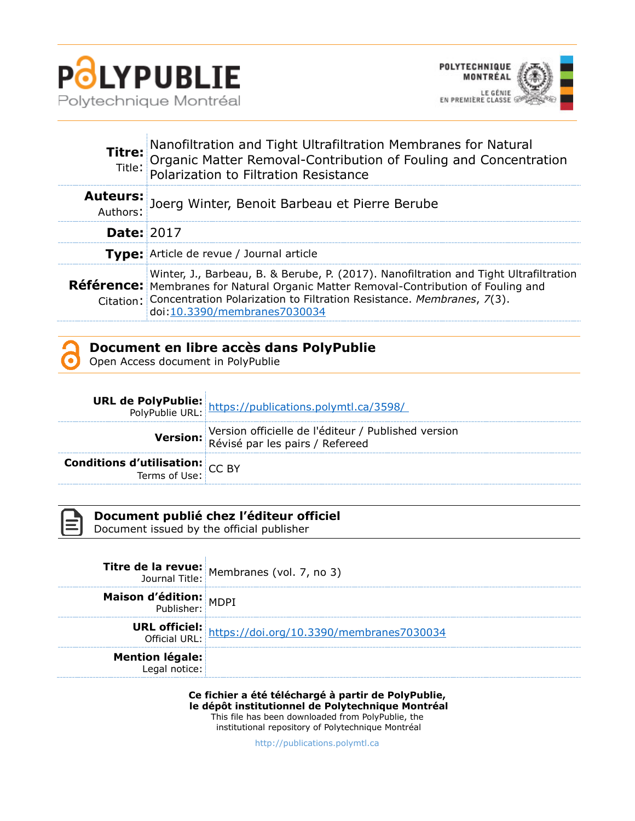



| Titre:            | <b>Fitre:</b> Nanofiltration and Tight Ultrafiltration Membranes for Natural<br>Title: Organic Matter Removal-Contribution of Fouling and Concentration<br>Polarization to Filtration Resistance                                                                                                       |
|-------------------|--------------------------------------------------------------------------------------------------------------------------------------------------------------------------------------------------------------------------------------------------------------------------------------------------------|
|                   | Auteurs: Joerg Winter, Benoit Barbeau et Pierre Berube                                                                                                                                                                                                                                                 |
| <b>Date: 2017</b> |                                                                                                                                                                                                                                                                                                        |
|                   | <b>Type:</b> Article de revue / Journal article                                                                                                                                                                                                                                                        |
|                   | Winter, J., Barbeau, B. & Berube, P. (2017). Nanofiltration and Tight Ultrafiltration<br><b>Référence:</b> Membranes for Natural Organic Matter Removal-Contribution of Fouling and<br>Citation: Concentration Polarization to Filtration Resistance. Membranes, 7(3).<br>doi:10.3390/membranes7030034 |

| Document en libre accès dans PolyPublie |  |
|-----------------------------------------|--|
| Open Access document in PolyPublie      |  |

|                                        | <b>URL de PolyPublie:</b> https://publications.polymtl.ca/3598/<br>PolyPublie URL: https://publications.polymtl.ca/3598/ |
|----------------------------------------|--------------------------------------------------------------------------------------------------------------------------|
|                                        | Version officielle de l'éditeur / Published version<br>Révisé par les pairs / Refereed                                   |
| <b>Conditions d'utilisation:</b> CC BY |                                                                                                                          |



|                                         | <b>Titre de la revue:</b><br>Journal Title: Membranes (vol. 7, no 3)           |
|-----------------------------------------|--------------------------------------------------------------------------------|
| <b>Maison d'édition:</b> MDPI           |                                                                                |
|                                         | <b>URL officiel:</b><br>Official URL: https://doi.org/10.3390/membranes7030034 |
| <b>Mention légale:</b><br>Legal notice: |                                                                                |

**Ce fichier a été téléchargé à partir de PolyPublie, le dépôt institutionnel de Polytechnique Montréal** This file has been downloaded from PolyPublie, the institutional repository of Polytechnique Montréal

[http://publications.polymtl.ca](http://publications.polymtl.ca/)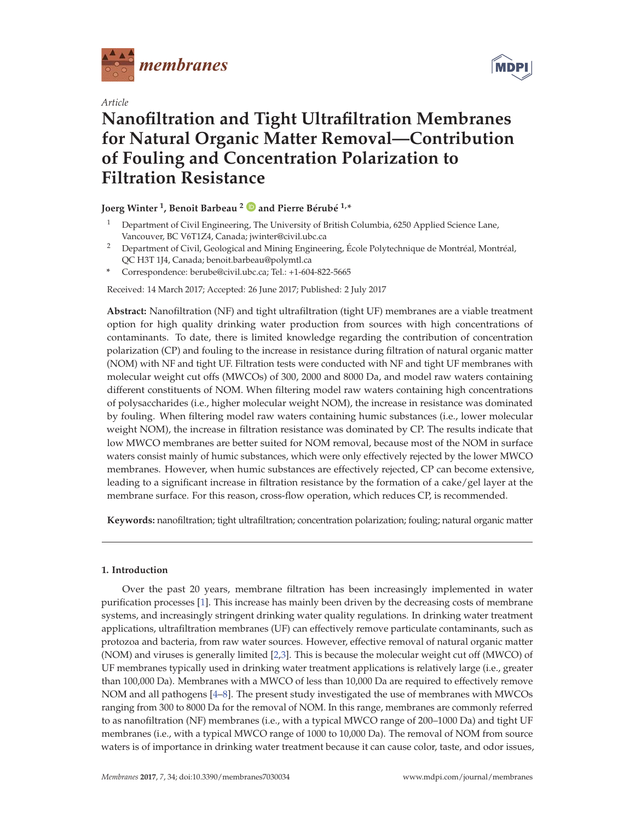

*Article*



# **Nanofiltration and Tight Ultrafiltration Membranes for Natural Organic Matter Removal—Contribution of Fouling and Concentration Polarization to Filtration Resistance**

## **Joerg Winter 1, Benoit Barbeau <sup>2</sup> and Pierre Bérubé 1,\***

- <sup>1</sup> Department of Civil Engineering, The University of British Columbia, 6250 Applied Science Lane, Vancouver, BC V6T1Z4, Canada; jwinter@civil.ubc.ca
- <sup>2</sup> Department of Civil, Geological and Mining Engineering, École Polytechnique de Montréal, Montréal, QC H3T 1J4, Canada; benoit.barbeau@polymtl.ca
- **\*** Correspondence: berube@civil.ubc.ca; Tel.: +1-604-822-5665

Received: 14 March 2017; Accepted: 26 June 2017; Published: 2 July 2017

**Abstract:** Nanofiltration (NF) and tight ultrafiltration (tight UF) membranes are a viable treatment option for high quality drinking water production from sources with high concentrations of contaminants. To date, there is limited knowledge regarding the contribution of concentration polarization (CP) and fouling to the increase in resistance during filtration of natural organic matter (NOM) with NF and tight UF. Filtration tests were conducted with NF and tight UF membranes with molecular weight cut offs (MWCOs) of 300, 2000 and 8000 Da, and model raw waters containing different constituents of NOM. When filtering model raw waters containing high concentrations of polysaccharides (i.e., higher molecular weight NOM), the increase in resistance was dominated by fouling. When filtering model raw waters containing humic substances (i.e., lower molecular weight NOM), the increase in filtration resistance was dominated by CP. The results indicate that low MWCO membranes are better suited for NOM removal, because most of the NOM in surface waters consist mainly of humic substances, which were only effectively rejected by the lower MWCO membranes. However, when humic substances are effectively rejected, CP can become extensive, leading to a significant increase in filtration resistance by the formation of a cake/gel layer at the membrane surface. For this reason, cross-flow operation, which reduces CP, is recommended.

**Keywords:** nanofiltration; tight ultrafiltration; concentration polarization; fouling; natural organic matter

## **1. Introduction**

Over the past 20 years, membrane filtration has been increasingly implemented in water purification processes [1]. This increase has mainly been driven by the decreasing costs of membrane systems, and increasingly stringent drinking water quality regulations. In drinking water treatment applications, ultrafiltration membranes (UF) can effectively remove particulate contaminants, such as protozoa and bacteria, from raw water sources. However, effective removal of natural organic matter (NOM) and viruses is generally limited [2,3]. This is because the molecular weight cut off (MWCO) of UF membranes typically used in drinking water treatment applications is relatively large (i.e., greater than 100,000 Da). Membranes with a MWCO of less than 10,000 Da are required to effectively remove NOM and all pathogens [4–8]. The present study investigated the use of membranes with MWCOs ranging from 300 to 8000 Da for the removal of NOM. In this range, membranes are commonly referred to as nanofiltration (NF) membranes (i.e., with a typical MWCO range of 200–1000 Da) and tight UF membranes (i.e., with a typical MWCO range of 1000 to 10,000 Da). The removal of NOM from source waters is of importance in drinking water treatment because it can cause color, taste, and odor issues,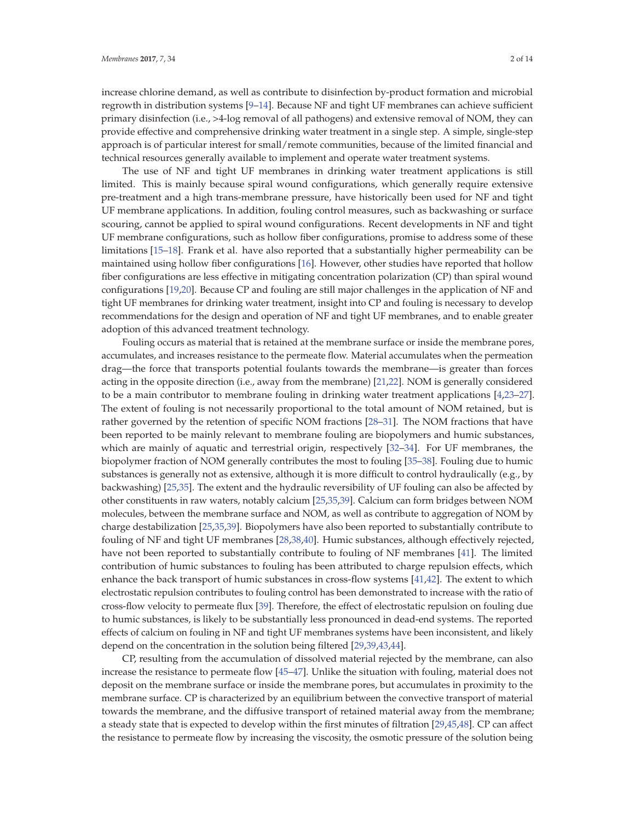increase chlorine demand, as well as contribute to disinfection by-product formation and microbial regrowth in distribution systems [9–14]. Because NF and tight UF membranes can achieve sufficient primary disinfection (i.e., >4-log removal of all pathogens) and extensive removal of NOM, they can provide effective and comprehensive drinking water treatment in a single step. A simple, single-step approach is of particular interest for small/remote communities, because of the limited financial and technical resources generally available to implement and operate water treatment systems.

The use of NF and tight UF membranes in drinking water treatment applications is still limited. This is mainly because spiral wound configurations, which generally require extensive pre-treatment and a high trans-membrane pressure, have historically been used for NF and tight UF membrane applications. In addition, fouling control measures, such as backwashing or surface scouring, cannot be applied to spiral wound configurations. Recent developments in NF and tight UF membrane configurations, such as hollow fiber configurations, promise to address some of these limitations [15–18]. Frank et al. have also reported that a substantially higher permeability can be maintained using hollow fiber configurations [16]. However, other studies have reported that hollow fiber configurations are less effective in mitigating concentration polarization (CP) than spiral wound configurations [19,20]. Because CP and fouling are still major challenges in the application of NF and tight UF membranes for drinking water treatment, insight into CP and fouling is necessary to develop recommendations for the design and operation of NF and tight UF membranes, and to enable greater adoption of this advanced treatment technology.

Fouling occurs as material that is retained at the membrane surface or inside the membrane pores, accumulates, and increases resistance to the permeate flow. Material accumulates when the permeation drag—the force that transports potential foulants towards the membrane—is greater than forces acting in the opposite direction (i.e., away from the membrane) [21,22]. NOM is generally considered to be a main contributor to membrane fouling in drinking water treatment applications [4,23–27]. The extent of fouling is not necessarily proportional to the total amount of NOM retained, but is rather governed by the retention of specific NOM fractions [28–31]. The NOM fractions that have been reported to be mainly relevant to membrane fouling are biopolymers and humic substances, which are mainly of aquatic and terrestrial origin, respectively [32–34]. For UF membranes, the biopolymer fraction of NOM generally contributes the most to fouling [35–38]. Fouling due to humic substances is generally not as extensive, although it is more difficult to control hydraulically (e.g., by backwashing) [25,35]. The extent and the hydraulic reversibility of UF fouling can also be affected by other constituents in raw waters, notably calcium [25,35,39]. Calcium can form bridges between NOM molecules, between the membrane surface and NOM, as well as contribute to aggregation of NOM by charge destabilization [25,35,39]. Biopolymers have also been reported to substantially contribute to fouling of NF and tight UF membranes [28,38,40]. Humic substances, although effectively rejected, have not been reported to substantially contribute to fouling of NF membranes [41]. The limited contribution of humic substances to fouling has been attributed to charge repulsion effects, which enhance the back transport of humic substances in cross-flow systems [41,42]. The extent to which electrostatic repulsion contributes to fouling control has been demonstrated to increase with the ratio of cross-flow velocity to permeate flux [39]. Therefore, the effect of electrostatic repulsion on fouling due to humic substances, is likely to be substantially less pronounced in dead-end systems. The reported effects of calcium on fouling in NF and tight UF membranes systems have been inconsistent, and likely depend on the concentration in the solution being filtered [29,39,43,44].

CP, resulting from the accumulation of dissolved material rejected by the membrane, can also increase the resistance to permeate flow [45–47]. Unlike the situation with fouling, material does not deposit on the membrane surface or inside the membrane pores, but accumulates in proximity to the membrane surface. CP is characterized by an equilibrium between the convective transport of material towards the membrane, and the diffusive transport of retained material away from the membrane; a steady state that is expected to develop within the first minutes of filtration [29,45,48]. CP can affect the resistance to permeate flow by increasing the viscosity, the osmotic pressure of the solution being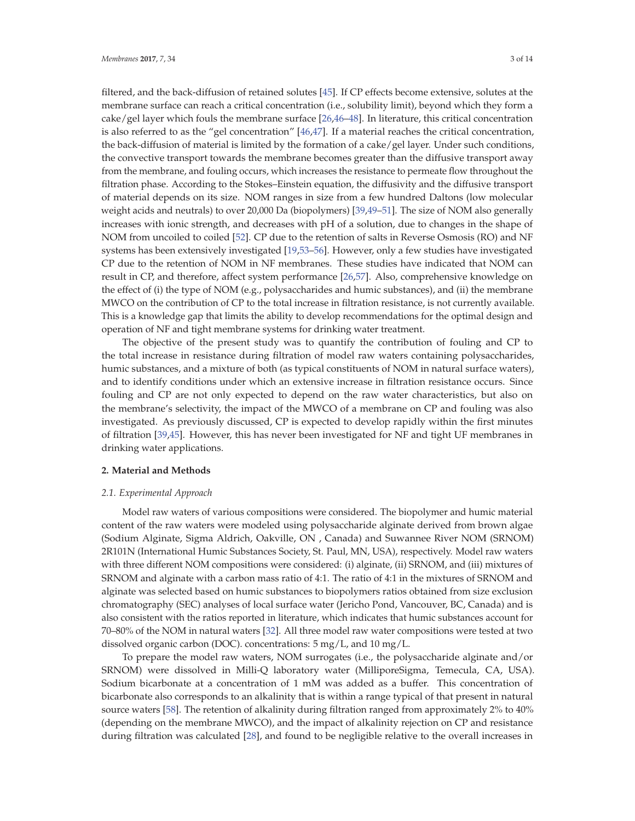filtered, and the back-diffusion of retained solutes [45]. If CP effects become extensive, solutes at the membrane surface can reach a critical concentration (i.e., solubility limit), beyond which they form a cake/gel layer which fouls the membrane surface [26,46–48]. In literature, this critical concentration is also referred to as the "gel concentration" [46,47]. If a material reaches the critical concentration, the back-diffusion of material is limited by the formation of a cake/gel layer. Under such conditions, the convective transport towards the membrane becomes greater than the diffusive transport away from the membrane, and fouling occurs, which increases the resistance to permeate flow throughout the filtration phase. According to the Stokes–Einstein equation, the diffusivity and the diffusive transport of material depends on its size. NOM ranges in size from a few hundred Daltons (low molecular weight acids and neutrals) to over 20,000 Da (biopolymers) [39,49–51]. The size of NOM also generally increases with ionic strength, and decreases with pH of a solution, due to changes in the shape of NOM from uncoiled to coiled [52]. CP due to the retention of salts in Reverse Osmosis (RO) and NF systems has been extensively investigated [19,53–56]. However, only a few studies have investigated CP due to the retention of NOM in NF membranes. These studies have indicated that NOM can result in CP, and therefore, affect system performance [26,57]. Also, comprehensive knowledge on the effect of (i) the type of NOM (e.g., polysaccharides and humic substances), and (ii) the membrane MWCO on the contribution of CP to the total increase in filtration resistance, is not currently available. This is a knowledge gap that limits the ability to develop recommendations for the optimal design and operation of NF and tight membrane systems for drinking water treatment.

The objective of the present study was to quantify the contribution of fouling and CP to the total increase in resistance during filtration of model raw waters containing polysaccharides, humic substances, and a mixture of both (as typical constituents of NOM in natural surface waters), and to identify conditions under which an extensive increase in filtration resistance occurs. Since fouling and CP are not only expected to depend on the raw water characteristics, but also on the membrane's selectivity, the impact of the MWCO of a membrane on CP and fouling was also investigated. As previously discussed, CP is expected to develop rapidly within the first minutes of filtration [39,45]. However, this has never been investigated for NF and tight UF membranes in drinking water applications.

#### **2. Material and Methods**

#### *2.1. Experimental Approach*

Model raw waters of various compositions were considered. The biopolymer and humic material content of the raw waters were modeled using polysaccharide alginate derived from brown algae (Sodium Alginate, Sigma Aldrich, Oakville, ON , Canada) and Suwannee River NOM (SRNOM) 2R101N (International Humic Substances Society, St. Paul, MN, USA), respectively. Model raw waters with three different NOM compositions were considered: (i) alginate, (ii) SRNOM, and (iii) mixtures of SRNOM and alginate with a carbon mass ratio of 4:1. The ratio of 4:1 in the mixtures of SRNOM and alginate was selected based on humic substances to biopolymers ratios obtained from size exclusion chromatography (SEC) analyses of local surface water (Jericho Pond, Vancouver, BC, Canada) and is also consistent with the ratios reported in literature, which indicates that humic substances account for 70–80% of the NOM in natural waters [32]. All three model raw water compositions were tested at two dissolved organic carbon (DOC). concentrations: 5 mg/L, and 10 mg/L.

To prepare the model raw waters, NOM surrogates (i.e., the polysaccharide alginate and/or SRNOM) were dissolved in Milli-Q laboratory water (MilliporeSigma, Temecula, CA, USA). Sodium bicarbonate at a concentration of 1 mM was added as a buffer. This concentration of bicarbonate also corresponds to an alkalinity that is within a range typical of that present in natural source waters [58]. The retention of alkalinity during filtration ranged from approximately 2% to 40% (depending on the membrane MWCO), and the impact of alkalinity rejection on CP and resistance during filtration was calculated [28], and found to be negligible relative to the overall increases in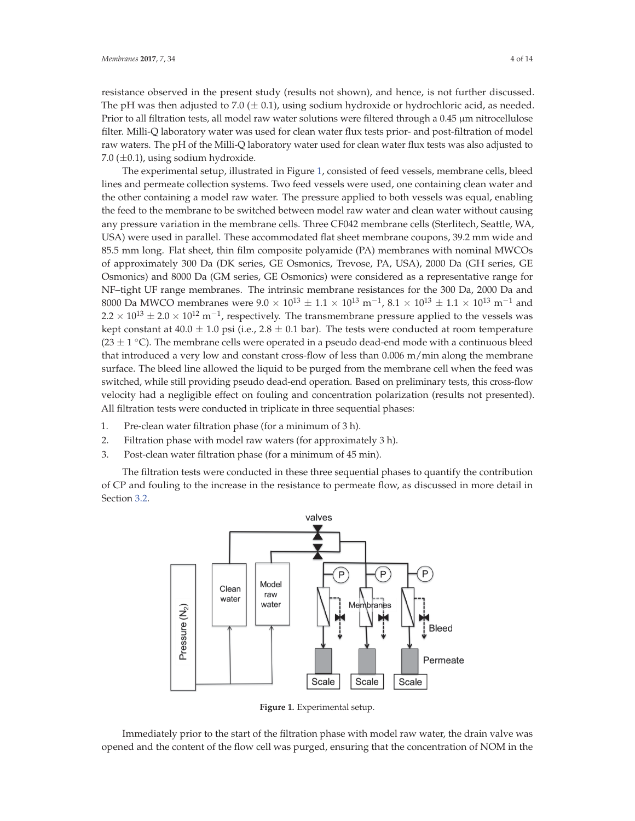resistance observed in the present study (results not shown), and hence, is not further discussed. The pH was then adjusted to 7.0 ( $\pm$  0.1), using sodium hydroxide or hydrochloric acid, as needed. Prior to all filtration tests, all model raw water solutions were filtered through a 0.45 μm nitrocellulose filter. Milli-Q laboratory water was used for clean water flux tests prior- and post-filtration of model raw waters. The pH of the Milli-Q laboratory water used for clean water flux tests was also adjusted to 7.0 ( $\pm$ 0.1), using sodium hydroxide.

The experimental setup, illustrated in Figure 1, consisted of feed vessels, membrane cells, bleed lines and permeate collection systems. Two feed vessels were used, one containing clean water and the other containing a model raw water. The pressure applied to both vessels was equal, enabling the feed to the membrane to be switched between model raw water and clean water without causing any pressure variation in the membrane cells. Three CF042 membrane cells (Sterlitech, Seattle, WA, USA) were used in parallel. These accommodated flat sheet membrane coupons, 39.2 mm wide and 85.5 mm long. Flat sheet, thin film composite polyamide (PA) membranes with nominal MWCOs of approximately 300 Da (DK series, GE Osmonics, Trevose, PA, USA), 2000 Da (GH series, GE Osmonics) and 8000 Da (GM series, GE Osmonics) were considered as a representative range for NF–tight UF range membranes. The intrinsic membrane resistances for the 300 Da, 2000 Da and 8000 Da MWCO membranes were  $9.0 \times 10^{13} \pm 1.1 \times 10^{13}$  m<sup>-1</sup>,  $8.1 \times 10^{13} \pm 1.1 \times 10^{13}$  m<sup>-1</sup> and  $2.2 \times 10^{13} \pm 2.0 \times 10^{12} \text{ m}^{-1}$ , respectively. The transmembrane pressure applied to the vessels was kept constant at 40.0  $\pm$  1.0 psi (i.e., 2.8  $\pm$  0.1 bar). The tests were conducted at room temperature (23  $\pm$  1  $\degree$ C). The membrane cells were operated in a pseudo dead-end mode with a continuous bleed that introduced a very low and constant cross-flow of less than 0.006 m/min along the membrane surface. The bleed line allowed the liquid to be purged from the membrane cell when the feed was switched, while still providing pseudo dead-end operation. Based on preliminary tests, this cross-flow velocity had a negligible effect on fouling and concentration polarization (results not presented). All filtration tests were conducted in triplicate in three sequential phases:

- 1. Pre-clean water filtration phase (for a minimum of 3 h).
- 2. Filtration phase with model raw waters (for approximately 3 h).
- 3. Post-clean water filtration phase (for a minimum of 45 min).

The filtration tests were conducted in these three sequential phases to quantify the contribution of CP and fouling to the increase in the resistance to permeate flow, as discussed in more detail in Section 3.2.



**Figure 1.** Experimental setup.

Immediately prior to the start of the filtration phase with model raw water, the drain valve was opened and the content of the flow cell was purged, ensuring that the concentration of NOM in the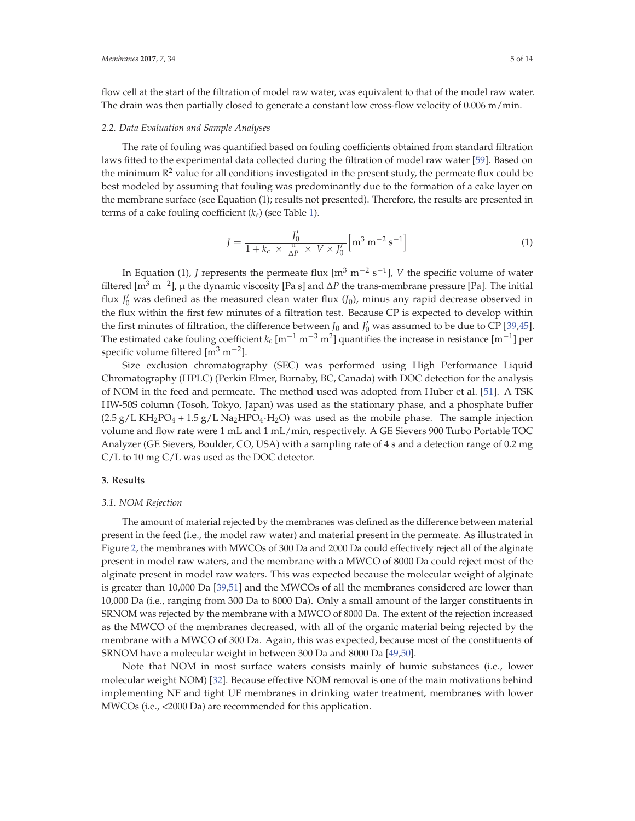flow cell at the start of the filtration of model raw water, was equivalent to that of the model raw water. The drain was then partially closed to generate a constant low cross-flow velocity of 0.006 m/min.

#### *2.2. Data Evaluation and Sample Analyses*

The rate of fouling was quantified based on fouling coefficients obtained from standard filtration laws fitted to the experimental data collected during the filtration of model raw water [59]. Based on the minimum  $R^2$  value for all conditions investigated in the present study, the permeate flux could be best modeled by assuming that fouling was predominantly due to the formation of a cake layer on the membrane surface (see Equation (1); results not presented). Therefore, the results are presented in terms of a cake fouling coefficient (*kc*) (see Table 1).

$$
J = \frac{J_0'}{1 + k_c \times \frac{\mu}{\Delta P} \times V \times J_0'} \left[ m^3 \, m^{-2} \, s^{-1} \right] \tag{1}
$$

In Equation (1), *J* represents the permeate flux  $\left[\text{m}^{3} \text{ m}^{-2} \text{ s}^{-1}\right]$ , *V* the specific volume of water filtered [m<sup>3</sup> m<sup>−</sup>2], μ the dynamic viscosity [Pa s] and Δ*P* the trans-membrane pressure [Pa]. The initial flux  $J_0'$  was defined as the measured clean water flux  $(J_0)$ , minus any rapid decrease observed in the flux within the first few minutes of a filtration test. Because CP is expected to develop within the first minutes of filtration, the difference between  $J_0$  and  $J'_0$  was assumed to be due to CP [39,45]. The estimated cake fouling coefficient  $k_c$  [m<sup>-1</sup> m<sup>-3</sup> m<sup>2</sup>] quantifies the increase in resistance [m<sup>-1</sup>] per specific volume filtered  $\left[\text{m}^3 \text{ m}^{-2}\right]$ .

Size exclusion chromatography (SEC) was performed using High Performance Liquid Chromatography (HPLC) (Perkin Elmer, Burnaby, BC, Canada) with DOC detection for the analysis of NOM in the feed and permeate. The method used was adopted from Huber et al. [51]. A TSK HW-50S column (Tosoh, Tokyo, Japan) was used as the stationary phase, and a phosphate buffer  $(2.5 \text{ g/L KH}_2PO_4 + 1.5 \text{ g/L Na}_2HPO_4 \cdot H_2O)$  was used as the mobile phase. The sample injection volume and flow rate were 1 mL and 1 mL/min, respectively. A GE Sievers 900 Turbo Portable TOC Analyzer (GE Sievers, Boulder, CO, USA) with a sampling rate of 4 s and a detection range of 0.2 mg C/L to 10 mg C/L was used as the DOC detector.

#### **3. Results**

#### *3.1. NOM Rejection*

The amount of material rejected by the membranes was defined as the difference between material present in the feed (i.e., the model raw water) and material present in the permeate. As illustrated in Figure 2, the membranes with MWCOs of 300 Da and 2000 Da could effectively reject all of the alginate present in model raw waters, and the membrane with a MWCO of 8000 Da could reject most of the alginate present in model raw waters. This was expected because the molecular weight of alginate is greater than 10,000 Da [39,51] and the MWCOs of all the membranes considered are lower than 10,000 Da (i.e., ranging from 300 Da to 8000 Da). Only a small amount of the larger constituents in SRNOM was rejected by the membrane with a MWCO of 8000 Da. The extent of the rejection increased as the MWCO of the membranes decreased, with all of the organic material being rejected by the membrane with a MWCO of 300 Da. Again, this was expected, because most of the constituents of SRNOM have a molecular weight in between 300 Da and 8000 Da [49,50].

Note that NOM in most surface waters consists mainly of humic substances (i.e., lower molecular weight NOM) [32]. Because effective NOM removal is one of the main motivations behind implementing NF and tight UF membranes in drinking water treatment, membranes with lower MWCOs (i.e., <2000 Da) are recommended for this application.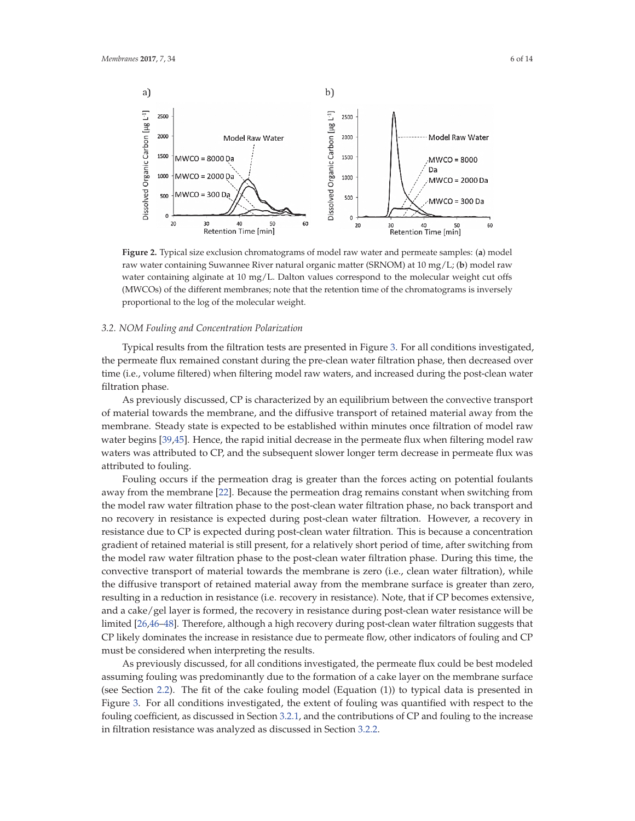

**Figure 2.** Typical size exclusion chromatograms of model raw water and permeate samples: (**a**) model raw water containing Suwannee River natural organic matter (SRNOM) at 10 mg/L; (**b**) model raw water containing alginate at 10 mg/L. Dalton values correspond to the molecular weight cut offs (MWCOs) of the different membranes; note that the retention time of the chromatograms is inversely proportional to the log of the molecular weight.

#### *3.2. NOM Fouling and Concentration Polarization*

Typical results from the filtration tests are presented in Figure 3. For all conditions investigated, the permeate flux remained constant during the pre-clean water filtration phase, then decreased over time (i.e., volume filtered) when filtering model raw waters, and increased during the post-clean water filtration phase.

As previously discussed, CP is characterized by an equilibrium between the convective transport of material towards the membrane, and the diffusive transport of retained material away from the membrane. Steady state is expected to be established within minutes once filtration of model raw water begins [39,45]. Hence, the rapid initial decrease in the permeate flux when filtering model raw waters was attributed to CP, and the subsequent slower longer term decrease in permeate flux was attributed to fouling.

Fouling occurs if the permeation drag is greater than the forces acting on potential foulants away from the membrane [22]. Because the permeation drag remains constant when switching from the model raw water filtration phase to the post-clean water filtration phase, no back transport and no recovery in resistance is expected during post-clean water filtration. However, a recovery in resistance due to CP is expected during post-clean water filtration. This is because a concentration gradient of retained material is still present, for a relatively short period of time, after switching from the model raw water filtration phase to the post-clean water filtration phase. During this time, the convective transport of material towards the membrane is zero (i.e., clean water filtration), while the diffusive transport of retained material away from the membrane surface is greater than zero, resulting in a reduction in resistance (i.e. recovery in resistance). Note, that if CP becomes extensive, and a cake/gel layer is formed, the recovery in resistance during post-clean water resistance will be limited [26,46–48]. Therefore, although a high recovery during post-clean water filtration suggests that CP likely dominates the increase in resistance due to permeate flow, other indicators of fouling and CP must be considered when interpreting the results.

As previously discussed, for all conditions investigated, the permeate flux could be best modeled assuming fouling was predominantly due to the formation of a cake layer on the membrane surface (see Section 2.2). The fit of the cake fouling model (Equation (1)) to typical data is presented in Figure 3. For all conditions investigated, the extent of fouling was quantified with respect to the fouling coefficient, as discussed in Section 3.2.1, and the contributions of CP and fouling to the increase in filtration resistance was analyzed as discussed in Section 3.2.2.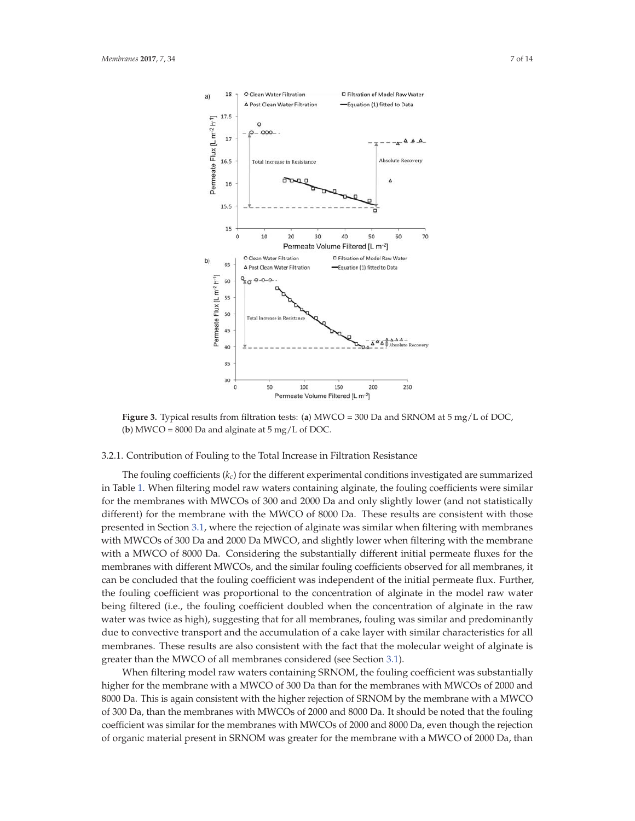

**Figure 3.** Typical results from filtration tests: (**a**) MWCO = 300 Da and SRNOM at 5 mg/L of DOC, (**b**) MWCO =  $8000$  Da and alginate at  $5 \text{ mg/L}$  of DOC.

#### 3.2.1. Contribution of Fouling to the Total Increase in Filtration Resistance

The fouling coefficients (*kc*) for the different experimental conditions investigated are summarized in Table 1. When filtering model raw waters containing alginate, the fouling coefficients were similar for the membranes with MWCOs of 300 and 2000 Da and only slightly lower (and not statistically different) for the membrane with the MWCO of 8000 Da. These results are consistent with those presented in Section 3.1, where the rejection of alginate was similar when filtering with membranes with MWCOs of 300 Da and 2000 Da MWCO, and slightly lower when filtering with the membrane with a MWCO of 8000 Da. Considering the substantially different initial permeate fluxes for the membranes with different MWCOs, and the similar fouling coefficients observed for all membranes, it can be concluded that the fouling coefficient was independent of the initial permeate flux. Further, the fouling coefficient was proportional to the concentration of alginate in the model raw water being filtered (i.e., the fouling coefficient doubled when the concentration of alginate in the raw water was twice as high), suggesting that for all membranes, fouling was similar and predominantly due to convective transport and the accumulation of a cake layer with similar characteristics for all membranes. These results are also consistent with the fact that the molecular weight of alginate is greater than the MWCO of all membranes considered (see Section 3.1).

When filtering model raw waters containing SRNOM, the fouling coefficient was substantially higher for the membrane with a MWCO of 300 Da than for the membranes with MWCOs of 2000 and 8000 Da. This is again consistent with the higher rejection of SRNOM by the membrane with a MWCO of 300 Da, than the membranes with MWCOs of 2000 and 8000 Da. It should be noted that the fouling coefficient was similar for the membranes with MWCOs of 2000 and 8000 Da, even though the rejection of organic material present in SRNOM was greater for the membrane with a MWCO of 2000 Da, than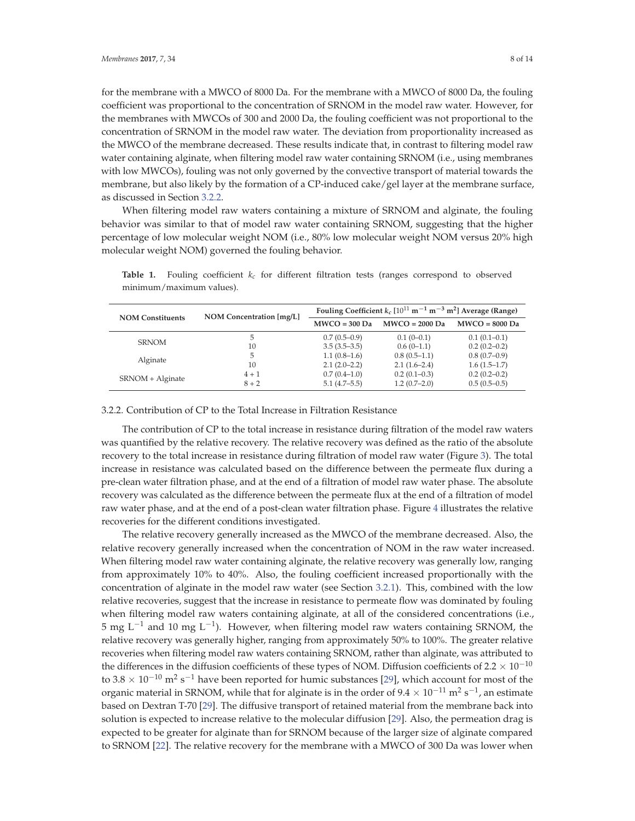for the membrane with a MWCO of 8000 Da. For the membrane with a MWCO of 8000 Da, the fouling coefficient was proportional to the concentration of SRNOM in the model raw water. However, for the membranes with MWCOs of 300 and 2000 Da, the fouling coefficient was not proportional to the concentration of SRNOM in the model raw water. The deviation from proportionality increased as the MWCO of the membrane decreased. These results indicate that, in contrast to filtering model raw water containing alginate, when filtering model raw water containing SRNOM (i.e., using membranes with low MWCOs), fouling was not only governed by the convective transport of material towards the membrane, but also likely by the formation of a CP-induced cake/gel layer at the membrane surface, as discussed in Section 3.2.2.

When filtering model raw waters containing a mixture of SRNOM and alginate, the fouling behavior was similar to that of model raw water containing SRNOM, suggesting that the higher percentage of low molecular weight NOM (i.e., 80% low molecular weight NOM versus 20% high molecular weight NOM) governed the fouling behavior.

| <b>NOM Constituents</b> | NOM Concentration [mg/L] | Fouling Coefficient $k_c$ [10 <sup>11</sup> m <sup>-1</sup> m <sup>-3</sup> m <sup>2</sup> ] Average (Range) |                  |                  |
|-------------------------|--------------------------|--------------------------------------------------------------------------------------------------------------|------------------|------------------|
|                         |                          | $MWCO = 300$ Da                                                                                              | $MWCO = 2000$ Da | $MWCO = 8000$ Da |
|                         | 5.                       | $0.7(0.5-0.9)$                                                                                               | $0.1(0-0.1)$     | $0.1(0.1-0.1)$   |
| <b>SRNOM</b>            | 10                       | $3.5(3.5-3.5)$                                                                                               | $0.6(0-1.1)$     | $0.2(0.2-0.2)$   |
| Alginate                | 5                        | $1.1(0.8-1.6)$                                                                                               | $0.8(0.5-1.1)$   | $0.8(0.7-0.9)$   |
|                         | 10                       | $2.1(2.0-2.2)$                                                                                               | $2.1(1.6-2.4)$   | $1.6(1.5-1.7)$   |
| SRNOM + Alginate        | $4 + 1$                  | $0.7(0.4-1.0)$                                                                                               | $0.2(0.1-0.3)$   | $0.2(0.2-0.2)$   |
|                         | $8 + 2$                  | $5.1(4.7-5.5)$                                                                                               | $1.2(0.7-2.0)$   | $0.5(0.5-0.5)$   |

**Table 1.** Fouling coefficient *kc* for different filtration tests (ranges correspond to observed minimum/maximum values).

### 3.2.2. Contribution of CP to the Total Increase in Filtration Resistance

The contribution of CP to the total increase in resistance during filtration of the model raw waters was quantified by the relative recovery. The relative recovery was defined as the ratio of the absolute recovery to the total increase in resistance during filtration of model raw water (Figure 3). The total increase in resistance was calculated based on the difference between the permeate flux during a pre-clean water filtration phase, and at the end of a filtration of model raw water phase. The absolute recovery was calculated as the difference between the permeate flux at the end of a filtration of model raw water phase, and at the end of a post-clean water filtration phase. Figure 4 illustrates the relative recoveries for the different conditions investigated.

The relative recovery generally increased as the MWCO of the membrane decreased. Also, the relative recovery generally increased when the concentration of NOM in the raw water increased. When filtering model raw water containing alginate, the relative recovery was generally low, ranging from approximately 10% to 40%. Also, the fouling coefficient increased proportionally with the concentration of alginate in the model raw water (see Section 3.2.1). This, combined with the low relative recoveries, suggest that the increase in resistance to permeate flow was dominated by fouling when filtering model raw waters containing alginate, at all of the considered concentrations (i.e., 5 mg L<sup>-1</sup> and 10 mg L<sup>-1</sup>). However, when filtering model raw waters containing SRNOM, the relative recovery was generally higher, ranging from approximately 50% to 100%. The greater relative recoveries when filtering model raw waters containing SRNOM, rather than alginate, was attributed to the differences in the diffusion coefficients of these types of NOM. Diffusion coefficients of 2.2  $\times$  10<sup>-10</sup> to 3.8  $\times$  10<sup>-10</sup> m<sup>2</sup> s<sup>-1</sup> have been reported for humic substances [29], which account for most of the organic material in SRNOM, while that for alginate is in the order of  $9.4 \times 10^{-11}$  m<sup>2</sup> s<sup>-1</sup>, an estimate based on Dextran T-70 [29]. The diffusive transport of retained material from the membrane back into solution is expected to increase relative to the molecular diffusion [29]. Also, the permeation drag is expected to be greater for alginate than for SRNOM because of the larger size of alginate compared to SRNOM [22]. The relative recovery for the membrane with a MWCO of 300 Da was lower when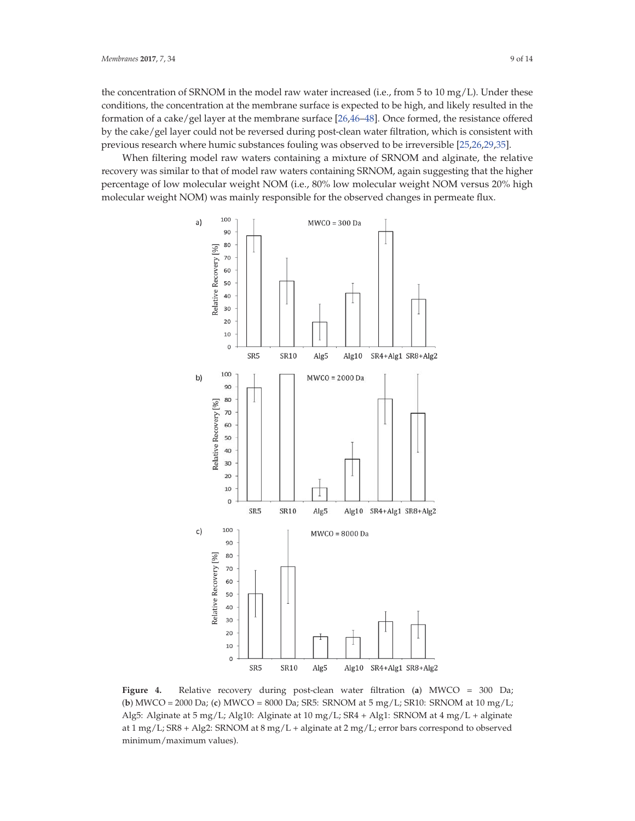the concentration of SRNOM in the model raw water increased (i.e., from 5 to 10 mg/L). Under these conditions, the concentration at the membrane surface is expected to be high, and likely resulted in the formation of a cake/gel layer at the membrane surface [26,46–48]. Once formed, the resistance offered by the cake/gel layer could not be reversed during post-clean water filtration, which is consistent with previous research where humic substances fouling was observed to be irreversible [25,26,29,35].

When filtering model raw waters containing a mixture of SRNOM and alginate, the relative recovery was similar to that of model raw waters containing SRNOM, again suggesting that the higher percentage of low molecular weight NOM (i.e., 80% low molecular weight NOM versus 20% high molecular weight NOM) was mainly responsible for the observed changes in permeate flux.



**Figure 4.** Relative recovery during post-clean water filtration (**a**) MWCO = 300 Da; (**b**) MWCO = 2000 Da; (**c**) MWCO = 8000 Da; SR5: SRNOM at 5 mg/L; SR10: SRNOM at 10 mg/L; Alg5: Alginate at 5 mg/L; Alg10: Alginate at 10 mg/L; SR4 + Alg1: SRNOM at 4 mg/L + alginate at 1 mg/L; SR8 + Alg2: SRNOM at 8 mg/L + alginate at 2 mg/L; error bars correspond to observed minimum/maximum values).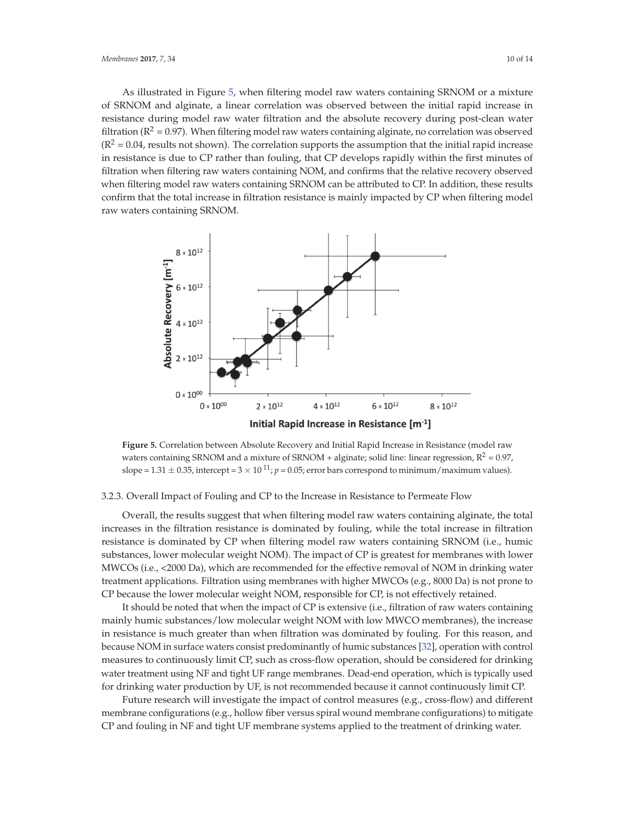As illustrated in Figure 5, when filtering model raw waters containing SRNOM or a mixture of SRNOM and alginate, a linear correlation was observed between the initial rapid increase in resistance during model raw water filtration and the absolute recovery during post-clean water filtration ( $R^2$  = 0.97). When filtering model raw waters containing alginate, no correlation was observed  $(R^2 = 0.04$ , results not shown). The correlation supports the assumption that the initial rapid increase in resistance is due to CP rather than fouling, that CP develops rapidly within the first minutes of filtration when filtering raw waters containing NOM, and confirms that the relative recovery observed when filtering model raw waters containing SRNOM can be attributed to CP. In addition, these results confirm that the total increase in filtration resistance is mainly impacted by CP when filtering model raw waters containing SRNOM.



**Figure 5.** Correlation between Absolute Recovery and Initial Rapid Increase in Resistance (model raw waters containing SRNOM and a mixture of SRNOM + alginate; solid line: linear regression,  $R^2 = 0.97$ , slope =  $1.31 \pm 0.35$ , intercept =  $3 \times 10^{11}$ ;  $p = 0.05$ ; error bars correspond to minimum/maximum values).

## 3.2.3. Overall Impact of Fouling and CP to the Increase in Resistance to Permeate Flow

Overall, the results suggest that when filtering model raw waters containing alginate, the total increases in the filtration resistance is dominated by fouling, while the total increase in filtration resistance is dominated by CP when filtering model raw waters containing SRNOM (i.e., humic substances, lower molecular weight NOM). The impact of CP is greatest for membranes with lower MWCOs (i.e., <2000 Da), which are recommended for the effective removal of NOM in drinking water treatment applications. Filtration using membranes with higher MWCOs (e.g., 8000 Da) is not prone to CP because the lower molecular weight NOM, responsible for CP, is not effectively retained.

It should be noted that when the impact of CP is extensive (i.e., filtration of raw waters containing mainly humic substances/low molecular weight NOM with low MWCO membranes), the increase in resistance is much greater than when filtration was dominated by fouling. For this reason, and because NOM in surface waters consist predominantly of humic substances [32], operation with control measures to continuously limit CP, such as cross-flow operation, should be considered for drinking water treatment using NF and tight UF range membranes. Dead-end operation, which is typically used for drinking water production by UF, is not recommended because it cannot continuously limit CP.

Future research will investigate the impact of control measures (e.g., cross-flow) and different membrane configurations (e.g., hollow fiber versus spiral wound membrane configurations) to mitigate CP and fouling in NF and tight UF membrane systems applied to the treatment of drinking water.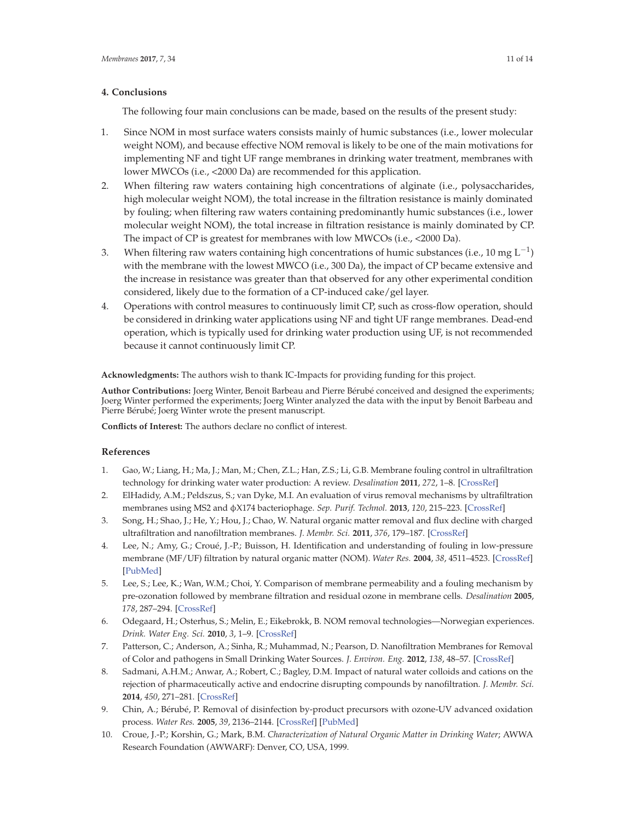## **4. Conclusions**

The following four main conclusions can be made, based on the results of the present study:

- 1. Since NOM in most surface waters consists mainly of humic substances (i.e., lower molecular weight NOM), and because effective NOM removal is likely to be one of the main motivations for implementing NF and tight UF range membranes in drinking water treatment, membranes with lower MWCOs (i.e., <2000 Da) are recommended for this application.
- 2. When filtering raw waters containing high concentrations of alginate (i.e., polysaccharides, high molecular weight NOM), the total increase in the filtration resistance is mainly dominated by fouling; when filtering raw waters containing predominantly humic substances (i.e., lower molecular weight NOM), the total increase in filtration resistance is mainly dominated by CP. The impact of CP is greatest for membranes with low MWCOs (i.e., <2000 Da).
- 3. When filtering raw waters containing high concentrations of humic substances (i.e., 10 mg  $L^{-1}$ ) with the membrane with the lowest MWCO (i.e., 300 Da), the impact of CP became extensive and the increase in resistance was greater than that observed for any other experimental condition considered, likely due to the formation of a CP-induced cake/gel layer.
- 4. Operations with control measures to continuously limit CP, such as cross-flow operation, should be considered in drinking water applications using NF and tight UF range membranes. Dead-end operation, which is typically used for drinking water production using UF, is not recommended because it cannot continuously limit CP.

**Acknowledgments:** The authors wish to thank IC-Impacts for providing funding for this project.

**Author Contributions:** Joerg Winter, Benoit Barbeau and Pierre Bérubé conceived and designed the experiments; Joerg Winter performed the experiments; Joerg Winter analyzed the data with the input by Benoit Barbeau and Pierre Bérubé; Joerg Winter wrote the present manuscript.

**Conflicts of Interest:** The authors declare no conflict of interest.

## **References**

- 1. Gao, W.; Liang, H.; Ma, J.; Man, M.; Chen, Z.L.; Han, Z.S.; Li, G.B. Membrane fouling control in ultrafiltration technology for drinking water water production: A review. *Desalination* **2011**, *272*, 1–8. [CrossRef]
- 2. ElHadidy, A.M.; Peldszus, S.; van Dyke, M.I. An evaluation of virus removal mechanisms by ultrafiltration membranes using MS2 and φX174 bacteriophage. *Sep. Purif. Technol.* **2013**, *120*, 215–223. [CrossRef]
- 3. Song, H.; Shao, J.; He, Y.; Hou, J.; Chao, W. Natural organic matter removal and flux decline with charged ultrafiltration and nanofiltration membranes. *J. Membr. Sci.* **2011**, *376*, 179–187. [CrossRef]
- 4. Lee, N.; Amy, G.; Croué, J.-P.; Buisson, H. Identification and understanding of fouling in low-pressure membrane (MF/UF) filtration by natural organic matter (NOM). *Water Res.* **2004**, *38*, 4511–4523. [CrossRef] [PubMed]
- 5. Lee, S.; Lee, K.; Wan, W.M.; Choi, Y. Comparison of membrane permeability and a fouling mechanism by pre-ozonation followed by membrane filtration and residual ozone in membrane cells. *Desalination* **2005**, *178*, 287–294. [CrossRef]
- 6. Odegaard, H.; Osterhus, S.; Melin, E.; Eikebrokk, B. NOM removal technologies—Norwegian experiences. *Drink. Water Eng. Sci.* **2010**, *3*, 1–9. [CrossRef]
- 7. Patterson, C.; Anderson, A.; Sinha, R.; Muhammad, N.; Pearson, D. Nanofiltration Membranes for Removal of Color and pathogens in Small Drinking Water Sources. *J. Environ. Eng.* **2012**, *138*, 48–57. [CrossRef]
- 8. Sadmani, A.H.M.; Anwar, A.; Robert, C.; Bagley, D.M. Impact of natural water colloids and cations on the rejection of pharmaceutically active and endocrine disrupting compounds by nanofiltration. *J. Membr. Sci.* **2014**, *450*, 271–281. [CrossRef]
- 9. Chin, A.; Bérubé, P. Removal of disinfection by-product precursors with ozone-UV advanced oxidation process. *Water Res.* **2005**, *39*, 2136–2144. [CrossRef] [PubMed]
- 10. Croue, J.-P.; Korshin, G.; Mark, B.M. *Characterization of Natural Organic Matter in Drinking Water*; AWWA Research Foundation (AWWARF): Denver, CO, USA, 1999.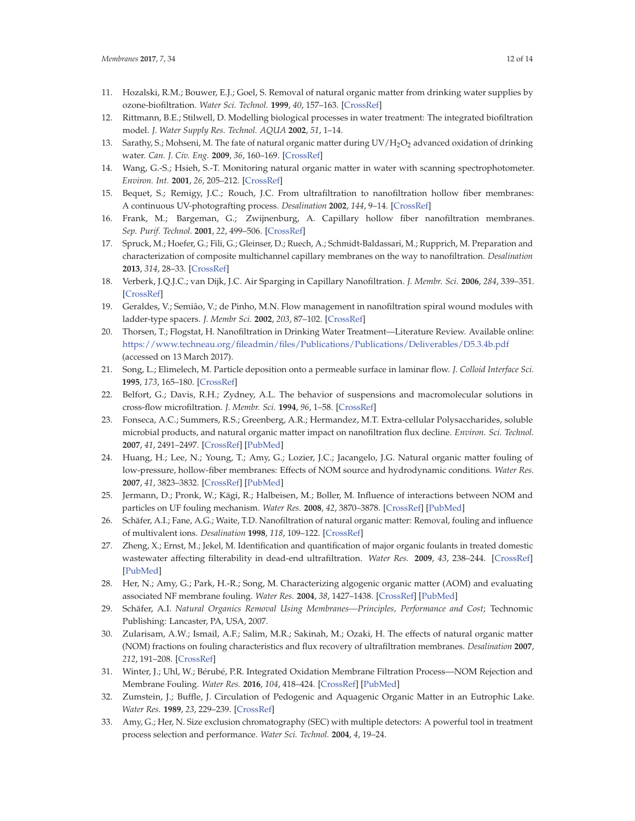- 11. Hozalski, R.M.; Bouwer, E.J.; Goel, S. Removal of natural organic matter from drinking water supplies by ozone-biofiltration. *Water Sci. Technol.* **1999**, *40*, 157–163. [CrossRef]
- 12. Rittmann, B.E.; Stilwell, D. Modelling biological processes in water treatment: The integrated biofiltration model. *J. Water Supply Res. Technol. AQUA* **2002**, *51*, 1–14.
- 13. Sarathy, S.; Mohseni, M. The fate of natural organic matter during UV/H<sub>2</sub>O<sub>2</sub> advanced oxidation of drinking water. *Can. J. Civ. Eng.* **2009**, *36*, 160–169. [CrossRef]
- 14. Wang, G.-S.; Hsieh, S.-T. Monitoring natural organic matter in water with scanning spectrophotometer. *Environ. Int.* **2001**, *26*, 205–212. [CrossRef]
- 15. Bequet, S.; Remigy, J.C.; Rouch, J.C. From ultrafiltration to nanofiltration hollow fiber membranes: A continuous UV-photografting process. *Desalination* **2002**, *144*, 9–14. [CrossRef]
- 16. Frank, M.; Bargeman, G.; Zwijnenburg, A. Capillary hollow fiber nanofiltration membranes. *Sep. Purif. Technol.* **2001**, *22*, 499–506. [CrossRef]
- 17. Spruck, M.; Hoefer, G.; Fili, G.; Gleinser, D.; Ruech, A.; Schmidt-Baldassari, M.; Rupprich, M. Preparation and characterization of composite multichannel capillary membranes on the way to nanofiltration. *Desalination* **2013**, *314*, 28–33. [CrossRef]
- 18. Verberk, J.Q.J.C.; van Dijk, J.C. Air Sparging in Capillary Nanofiltration. *J. Membr. Sci.* **2006**, *284*, 339–351. [CrossRef]
- 19. Geraldes, V.; Semião, V.; de Pinho, M.N. Flow management in nanofiltration spiral wound modules with ladder-type spacers. *J. Membr Sci.* **2002**, *203*, 87–102. [CrossRef]
- 20. Thorsen, T.; Flogstat, H. Nanofiltration in Drinking Water Treatment—Literature Review. Available online: https://www.techneau.org/fileadmin/files/Publications/Publications/Deliverables/D5.3.4b.pdf (accessed on 13 March 2017).
- 21. Song, L.; Elimelech, M. Particle deposition onto a permeable surface in laminar flow. *J. Colloid Interface Sci.* **1995**, *173*, 165–180. [CrossRef]
- 22. Belfort, G.; Davis, R.H.; Zydney, A.L. The behavior of suspensions and macromolecular solutions in cross-flow microfiltration. *J. Membr. Sci.* **1994**, *96*, 1–58. [CrossRef]
- 23. Fonseca, A.C.; Summers, R.S.; Greenberg, A.R.; Hermandez, M.T. Extra-cellular Polysaccharides, soluble microbial products, and natural organic matter impact on nanofiltration flux decline. *Environ. Sci. Technol.* **2007**, *41*, 2491–2497. [CrossRef] [PubMed]
- 24. Huang, H.; Lee, N.; Young, T.; Amy, G.; Lozier, J.C.; Jacangelo, J.G. Natural organic matter fouling of low-pressure, hollow-fiber membranes: Effects of NOM source and hydrodynamic conditions. *Water Res.* **2007**, *41*, 3823–3832. [CrossRef] [PubMed]
- 25. Jermann, D.; Pronk, W.; Kägi, R.; Halbeisen, M.; Boller, M. Influence of interactions between NOM and particles on UF fouling mechanism. *Water Res.* **2008**, *42*, 3870–3878. [CrossRef] [PubMed]
- 26. Schäfer, A.I.; Fane, A.G.; Waite, T.D. Nanofiltration of natural organic matter: Removal, fouling and influence of multivalent ions. *Desalination* **1998**, *118*, 109–122. [CrossRef]
- 27. Zheng, X.; Ernst, M.; Jekel, M. Identification and quantification of major organic foulants in treated domestic wastewater affecting filterability in dead-end ultrafiltration. *Water Res.* **2009**, *43*, 238–244. [CrossRef] [PubMed]
- 28. Her, N.; Amy, G.; Park, H.-R.; Song, M. Characterizing algogenic organic matter (AOM) and evaluating associated NF membrane fouling. *Water Res.* **2004**, *38*, 1427–1438. [CrossRef] [PubMed]
- 29. Schäfer, A.I. *Natural Organics Removal Using Membranes—Principles, Performance and Cost*; Technomic Publishing: Lancaster, PA, USA, 2007.
- 30. Zularisam, A.W.; Ismail, A.F.; Salim, M.R.; Sakinah, M.; Ozaki, H. The effects of natural organic matter (NOM) fractions on fouling characteristics and flux recovery of ultrafiltration membranes. *Desalination* **2007**, *212*, 191–208. [CrossRef]
- 31. Winter, J.; Uhl, W.; Bérubé, P.R. Integrated Oxidation Membrane Filtration Process—NOM Rejection and Membrane Fouling. *Water Res.* **2016**, *104*, 418–424. [CrossRef] [PubMed]
- 32. Zumstein, J.; Buffle, J. Circulation of Pedogenic and Aquagenic Organic Matter in an Eutrophic Lake. *Water Res.* **1989**, *23*, 229–239. [CrossRef]
- 33. Amy, G.; Her, N. Size exclusion chromatography (SEC) with multiple detectors: A powerful tool in treatment process selection and performance. *Water Sci. Technol.* **2004**, *4*, 19–24.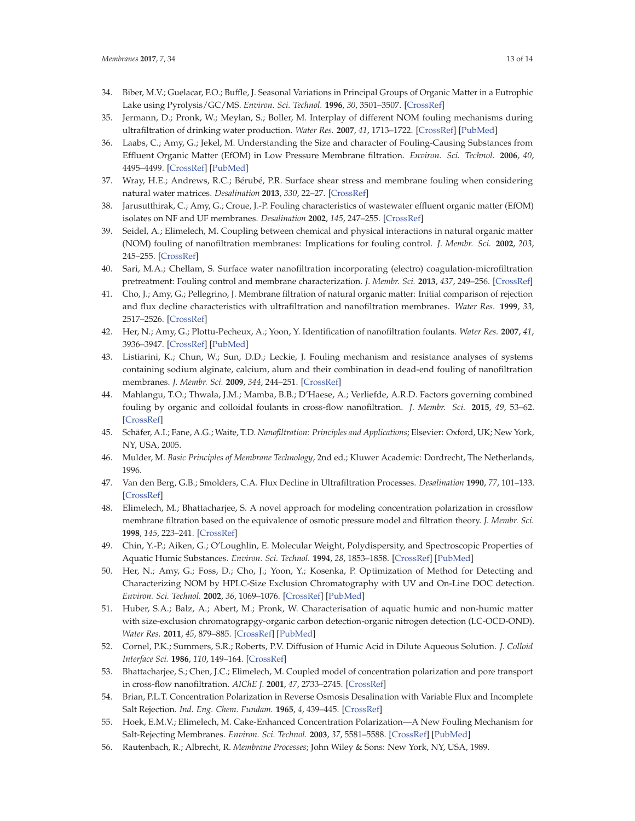- 34. Biber, M.V.; Guelacar, F.O.; Buffle, J. Seasonal Variations in Principal Groups of Organic Matter in a Eutrophic Lake using Pyrolysis/GC/MS. *Environ. Sci. Technol.* **1996**, *30*, 3501–3507. [CrossRef]
- 35. Jermann, D.; Pronk, W.; Meylan, S.; Boller, M. Interplay of different NOM fouling mechanisms during ultrafiltration of drinking water production. *Water Res.* **2007**, *41*, 1713–1722. [CrossRef] [PubMed]
- 36. Laabs, C.; Amy, G.; Jekel, M. Understanding the Size and character of Fouling-Causing Substances from Effluent Organic Matter (EfOM) in Low Pressure Membrane filtration. *Environ. Sci. Technol.* **2006**, *40*, 4495–4499. [CrossRef] [PubMed]
- 37. Wray, H.E.; Andrews, R.C.; Bérubé, P.R. Surface shear stress and membrane fouling when considering natural water matrices. *Desalination* **2013**, *330*, 22–27. [CrossRef]
- 38. Jarusutthirak, C.; Amy, G.; Croue, J.-P. Fouling characteristics of wastewater effluent organic matter (EfOM) isolates on NF and UF membranes. *Desalination* **2002**, *145*, 247–255. [CrossRef]
- 39. Seidel, A.; Elimelech, M. Coupling between chemical and physical interactions in natural organic matter (NOM) fouling of nanofiltration membranes: Implications for fouling control. *J. Membr. Sci.* **2002**, *203*, 245–255. [CrossRef]
- 40. Sari, M.A.; Chellam, S. Surface water nanofiltration incorporating (electro) coagulation-microfiltration pretreatment: Fouling control and membrane characterization. *J. Membr. Sci.* **2013**, *437*, 249–256. [CrossRef]
- 41. Cho, J.; Amy, G.; Pellegrino, J. Membrane filtration of natural organic matter: Initial comparison of rejection and flux decline characteristics with ultrafiltration and nanofiltration membranes. *Water Res.* **1999**, *33*, 2517–2526. [CrossRef]
- 42. Her, N.; Amy, G.; Plottu-Pecheux, A.; Yoon, Y. Identification of nanofiltration foulants. *Water Res.* **2007**, *41*, 3936–3947. [CrossRef] [PubMed]
- 43. Listiarini, K.; Chun, W.; Sun, D.D.; Leckie, J. Fouling mechanism and resistance analyses of systems containing sodium alginate, calcium, alum and their combination in dead-end fouling of nanofiltration membranes. *J. Membr. Sci.* **2009**, *344*, 244–251. [CrossRef]
- 44. Mahlangu, T.O.; Thwala, J.M.; Mamba, B.B.; D'Haese, A.; Verliefde, A.R.D. Factors governing combined fouling by organic and colloidal foulants in cross-flow nanofiltration. *J. Membr. Sci.* **2015**, *49*, 53–62. [CrossRef]
- 45. Schäfer, A.I.; Fane, A.G.; Waite, T.D. *Nanofiltration: Principles and Applications*; Elsevier: Oxford, UK; New York, NY, USA, 2005.
- 46. Mulder, M. *Basic Principles of Membrane Technology*, 2nd ed.; Kluwer Academic: Dordrecht, The Netherlands, 1996.
- 47. Van den Berg, G.B.; Smolders, C.A. Flux Decline in Ultrafiltration Processes. *Desalination* **1990**, *77*, 101–133. [CrossRef]
- 48. Elimelech, M.; Bhattacharjee, S. A novel approach for modeling concentration polarization in crossflow membrane filtration based on the equivalence of osmotic pressure model and filtration theory. *J. Membr. Sci.* **1998**, *145*, 223–241. [CrossRef]
- 49. Chin, Y.-P.; Aiken, G.; O'Loughlin, E. Molecular Weight, Polydispersity, and Spectroscopic Properties of Aquatic Humic Substances. *Environ. Sci. Technol.* **1994**, *28*, 1853–1858. [CrossRef] [PubMed]
- 50. Her, N.; Amy, G.; Foss, D.; Cho, J.; Yoon, Y.; Kosenka, P. Optimization of Method for Detecting and Characterizing NOM by HPLC-Size Exclusion Chromatography with UV and On-Line DOC detection. *Environ. Sci. Technol.* **2002**, *36*, 1069–1076. [CrossRef] [PubMed]
- 51. Huber, S.A.; Balz, A.; Abert, M.; Pronk, W. Characterisation of aquatic humic and non-humic matter with size-exclusion chromatograpgy-organic carbon detection-organic nitrogen detection (LC-OCD-OND). *Water Res.* **2011**, *45*, 879–885. [CrossRef] [PubMed]
- 52. Cornel, P.K.; Summers, S.R.; Roberts, P.V. Diffusion of Humic Acid in Dilute Aqueous Solution. *J. Colloid Interface Sci.* **1986**, *110*, 149–164. [CrossRef]
- 53. Bhattacharjee, S.; Chen, J.C.; Elimelech, M. Coupled model of concentration polarization and pore transport in cross-flow nanofiltration. *AIChE J.* **2001**, *47*, 2733–2745. [CrossRef]
- 54. Brian, P.L.T. Concentration Polarization in Reverse Osmosis Desalination with Variable Flux and Incomplete Salt Rejection. *Ind. Eng. Chem. Fundam.* **1965**, *4*, 439–445. [CrossRef]
- 55. Hoek, E.M.V.; Elimelech, M. Cake-Enhanced Concentration Polarization—A New Fouling Mechanism for Salt-Rejecting Membranes. *Environ. Sci. Technol.* **2003**, *37*, 5581–5588. [CrossRef] [PubMed]
- 56. Rautenbach, R.; Albrecht, R. *Membrane Processes*; John Wiley & Sons: New York, NY, USA, 1989.